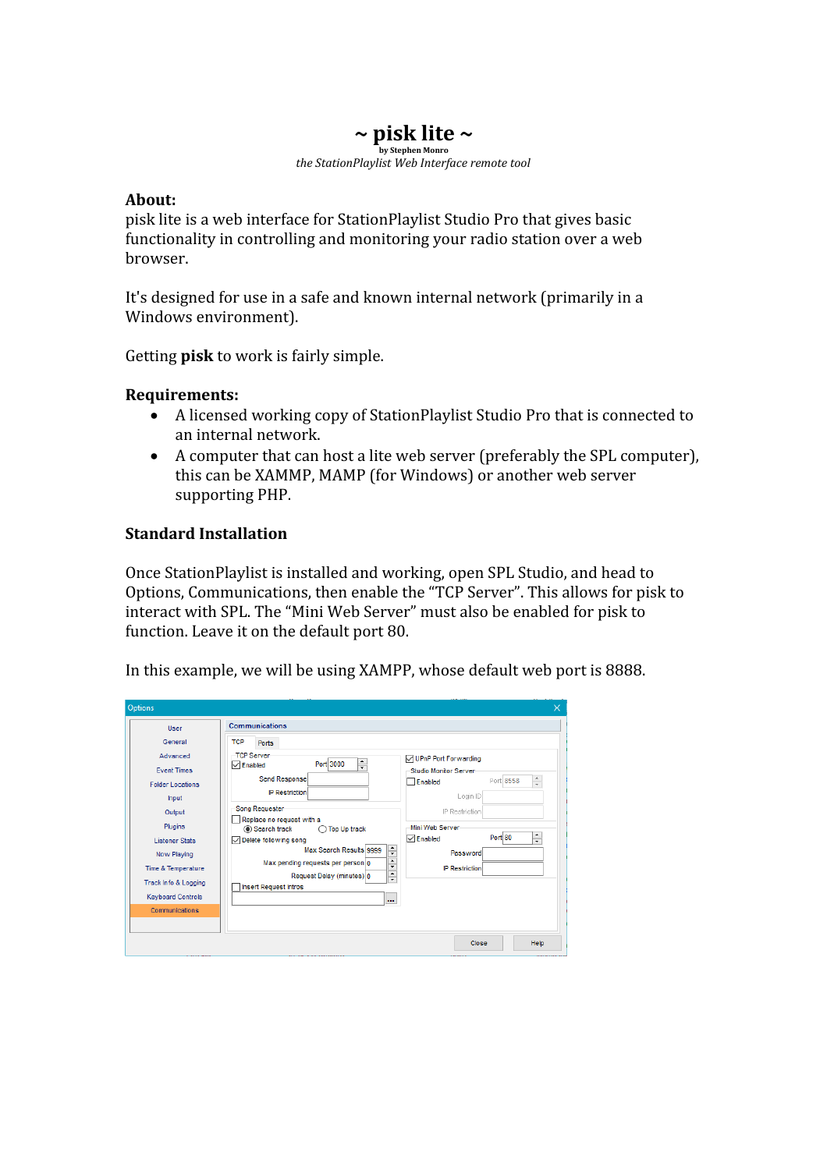## **~ pisk lite ~ by Stephen Monro** *the StationPlaylist Web Interface remote tool*

## **About:**

pisk lite is a web interface for StationPlaylist Studio Pro that gives basic functionality in controlling and monitoring your radio station over a web browser.

It's designed for use in a safe and known internal network (primarily in a Windows environment).

Getting **pisk** to work is fairly simple.

## **Requirements:**

- A licensed working copy of StationPlaylist Studio Pro that is connected to an internal network.
- A computer that can host a lite web server (preferably the SPL computer), this can be XAMMP, MAMP (for Windows) or another web server supporting PHP.

## **Standard Installation**

Once StationPlaylist is installed and working, open SPL Studio, and head to Options, Communications, then enable the "TCP Server". This allows for pisk to interact with SPL. The "Mini Web Server" must also be enabled for pisk to function. Leave it on the default port 80.

In this example, we will be using XAMPP, whose default web port is 8888.

| Options                                                                                                                                                                                                 |                                                                                                                                                                                                                                                                                                                                                                                                                                         |                                                                                                                                                                                                           | $\times$                             |
|---------------------------------------------------------------------------------------------------------------------------------------------------------------------------------------------------------|-----------------------------------------------------------------------------------------------------------------------------------------------------------------------------------------------------------------------------------------------------------------------------------------------------------------------------------------------------------------------------------------------------------------------------------------|-----------------------------------------------------------------------------------------------------------------------------------------------------------------------------------------------------------|--------------------------------------|
| User<br>General<br>Advanced<br><b>Fvent Times</b><br><b>Folder Locations</b><br>Input<br>Output<br><b>Plugins</b><br><b>Listener Stats</b><br>Now Playing<br>Time & Temperature<br>Track Info & Logging | <b>Communications</b><br><b>TCP</b><br><b>Ports</b><br><b>TCP Server</b><br>$\div$<br>Port 3000<br>$\sqrt{\ }$ Enabled<br>Send Response<br><b>IP Restriction</b><br>Song Requester<br>Replace no request with a<br>Search track<br><b>Top Up track</b><br>◯ Delete following song<br>÷<br>Max Search Results 9999<br>$\div$<br>Max pending requests per person 0<br>$\div$<br>Request Delay (minutes) 0<br><b>Insert Request Intros</b> | <b>√UPnP Port Forwarding</b><br>Studio Monitor Server<br>Port 8558<br>Enabled<br>Login ID<br>IP Restriction<br>Mini Web Server<br>Port 80<br>$\triangledown$ Enabled<br>Password<br><b>IP Restriction</b> | $\frac{1}{\tau}$<br>$\frac{1}{\tau}$ |
| <b>Keyboard Controls</b><br>Communications                                                                                                                                                              | $\cdots$                                                                                                                                                                                                                                                                                                                                                                                                                                |                                                                                                                                                                                                           |                                      |
|                                                                                                                                                                                                         |                                                                                                                                                                                                                                                                                                                                                                                                                                         | Close                                                                                                                                                                                                     | Help                                 |